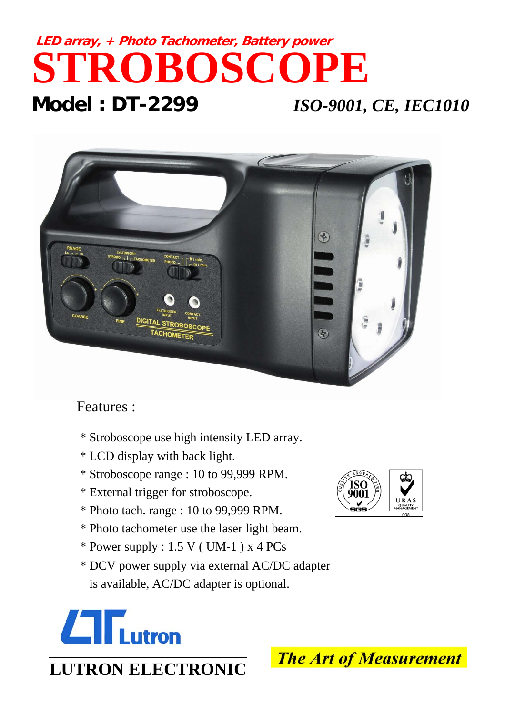## **LED array, + Photo Tachometer, Battery power STROBOSCOPE Model : DT-2299** *ISO-9001, CE, IEC1010*



## Features :

- \* Stroboscope use high intensity LED array.
- \* LCD display with back light.
- \* Stroboscope range : 10 to 99,999 RPM.
- \* External trigger for stroboscope.
- \* Photo tach. range : 10 to 99,999 RPM.
- \* Photo tachometer use the laser light beam.
- $*$  Power supply : 1.5 V (UM-1) x 4 PCs
- \* DCV power supply via external AC/DC adapter is available, AC/DC adapter is optional.







**The Art of Measurement**